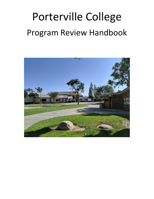# Porterville College Program Review Handbook

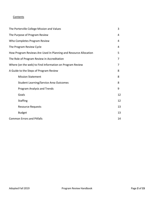# **Contents**

| The Porterville College Mission and Values                       | 3  |
|------------------------------------------------------------------|----|
| The Purpose of Program Review                                    | 4  |
| Who Completes Program Review                                     | 4  |
| The Program Review Cycle                                         | 4  |
| How Program Reviews Are Used In Planning and Resource Allocation | 5  |
| The Role of Program Review in Accreditation                      | 7  |
| Where (on the web) to Find Information on Program Review         | 7  |
| A Guide to the Steps of Program Review                           | 8  |
| <b>Mission Statement</b>                                         | 8  |
| <b>Student Learning/Service Area Outcomes</b>                    | 8  |
| Program Analysis and Trends                                      | 9  |
| Goals                                                            | 12 |
| <b>Staffing</b>                                                  | 12 |
| <b>Resource Requests</b>                                         | 13 |
| <b>Budget</b>                                                    | 13 |
| <b>Common Errors and Pitfalls</b>                                | 14 |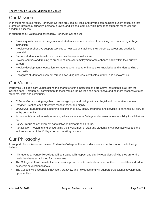# Our Mission

With students as our focus, Porterville College provides our local and diverse communities quality education that promotes intellectual curiosity, personal growth, and lifelong learning, while preparing students for career and academic success.

In support of our values and philosophy, Porterville College will:

- Provide quality academic programs to all students who are capable of benefiting from community college instruction.
- Provide comprehensive support services to help students achieve their personal, career and academic potential.
- Prepare students for transfer and success at four-year institutions.
- Provide courses and training to prepare students for employment or to enhance skills within their current careers.
- Provide developmental education to students who need to enhance their knowledge and understanding of basic skills.
- Recognize student achievement through awarding degrees, certificates, grants, and scholarships.

# Our Values

Porterville College's core values define the character of the institution and are active ingredients in all that the College does. Through our commitment to these values the College can better serve and be more responsive to its students, staff, and community:

- *Collaboration* working together to encourage input and dialogue in a collegial and cooperative manner.
- *Respect* treating each other with respect, trust, and dignity.
- *Innovation* nurturing and supporting exploration of new ideas, programs, and services to enhance our service to the community.
- *Accountability* continuously assessing where we are as a College and to assume responsibility for all that we do.
- *Equity* reducing achievement gaps between demographic groups.
- *Participation* fostering and encouraging the involvement of staff and students in campus activities and the various aspects of the College decision-making process.

# Our Philosophy

In support of our mission and values, Porterville College will base its decisions and actions upon the following beliefs:

- All students at Porterville College will be treated with respect and dignity regardless of who they are or the goals they have established for themselves.
- The College staff will provide the best service possible to its students in order for them to meet their individual academic or vocational goals.
- The College will encourage innovation, creativity, and new ideas and will support professional development opportunities.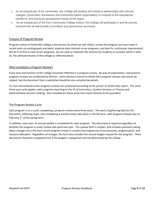- As an integral part of the community, the College will develop and enhance partnerships with schools, colleges, universities, businesses and community-based organizations to respond to the educational, workforce, and economic development needs of the region.
- As an integral part of the Kern Community College District, the College will participate in and be actively involved with all district-wide committees and governance structures.

#### Purpose of Program Review

Program review at Porterville College is the process by which we self-reflect, review the progress we have made in recent years on existing goals and plans, examine data relevant to our programs, and plan for continuous improvement. We do it so that in each of our programs, we can seek to maximize the chances for students to succeed, which is after all, the ultimate mission of the college as reflected above.

#### Who Completes a Program Review?

Every area and function at the college should be reflected in a program review. By way of organization, instructional program reviews are conducted by division. Some divisions choose to divide their program reviews into pieces by subject, but the document that is submitted should be one compiled document.

For non-instructional areas, program reviews are conducted according to the person to whom they report. The same three-year cycle applies, with programs reporting to the VP of Instruction, Student Services, or Finance and Administrative Services rotating. Also included are those areas that report directly to the president.

#### The Program Review Cycle

Each program is on a cycle, completing a program review every three years. The work of gathering data for the document, collecting input, and completing it should mostly take place in the fall term, with program reviews due on February  $1<sup>st</sup>$  of the spring term.

In addition, each year, an annual update is completed for each program. This document is required regardless of whether the program is under review that particular year. The update form is simpler, and includes questions asking about changes since the most recent program review in student learning/service area outcomes, program goals, and resource allocation. Regardless of changes, the form also includes the annual budget request for the program. *These documents should be completed even if the budget is categorical and not determined by the college.*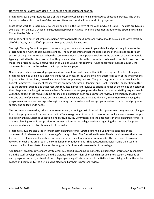#### How Program Reviews are Used in Planning and Resource Allocation

Program review is the grassroots basis of the Porterville College planning and resource allocation process. The chart below provides a visual outline of the process. Here, we describe how it works for programs.

Most of the work for program review should be done in the fall term of the year in which it is due. The data are typically available from the KCCD Office of Institutional Research in August. The final document is due to the Strategic Planning Committee by February 1st.

It is important to note that while one person may coordinate input, program review should be a collaborative effort by all of the faculty and staff of a program. Everyone should be involved.

Strategic Planning Committee goes over each program review document in great detail and provides guidance to the program using a rubric that is available online. The rubric identifies what the expectations of the college are for each section of the program review. When the committee meets, a lead person involved in the creation of the document is typically invited to the discussion so that they can hear directly from the committee. When all requested corrections are made, the program review is forwarded on to College Council for approval. Once approved at College Council, the document is posted on the web on the Program Review page.

Once completed and approved, program reviews do not just wait on a shelf until the next cycle. As a first step, your program should be using it as a planning guide for your next three years, including addressing each of the goals you set in your review. In addition, these documents drive our planning process. The primary groups that use them include Budget Committee, Enrollment Management Committee, Strategic Planning, and Grant Oversight. Budget Committee uses the staffing, budget, and other resource requests in program reviews to prioritize needs at the college and establish the college's annual budget. When Academic Senate and other groups receive faculty and other staffing requests each year, they expect these requests to be outlined and justified in each area's program review. Enrollment Management must be aware of planning needs, possible curriculum changes, etc. Strategic Planning, in addition to overseeing the program review process, manages strategic planning for the college and uses program review to understand programspecific and college-wide needs.

The documents are used by other committees as well, including Curriculum, which approves new programs and changes to existing programs and courses, Information Technology committee, which plans for technology needs across campus, Facilities Planning, Distance Education, and Safety/Security Committees use the documents in their planning efforts. All of these planning committees provide recommendations to the college president regarding the short and long-term planning and resource allocation needs of the college.

Program reviews are also used in longer-term planning efforts. Strategic Planning Committee considers these documents in its development of the college's strategic plan. The Educational Master Plan is the document that is used for long-term planning of the college, including program development and space needs. The most recent program reviews for each area are used in the compilation of that document. That Educational Master Plan is then used to develop the Facilities Master Plan for the long-term facilities and space needs of the college.

Additionally, program reviews are key to other key periodic planning documents, including the Information Technology Plan, the Staff Development Plan, and the Distance Education Plan, all of which must take into account the needs of each program. In short, while all of the college's planning efforts require substantial input and dialogue from the entire college and community, the first building block of all of them is program review.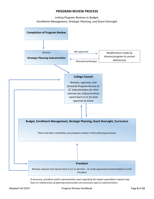# **PROGRAM REVIEW PROCESS**

*Linking Program Reviews to Budget, Enrollment Management, Strategic Planning, and Grant Oversight*



*If necessary, president solicits subcommittee input regarding the impact expenditure request may have on related areas of planning and provides any necessary input to subcommittees*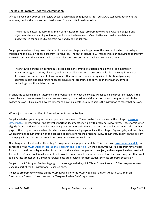#### The Role of Program Review in Accreditation

Of course, we don't do program review because accreditation requires it. But, our ACCJC standards document the reasoning behind the process described above. Standard I.B.5 reads as follows:

The institution assesses accomplishment of its mission through program review and evaluation of goals and objectives, student learning outcomes, and student achievement. Quantitative and qualitative data are disaggregated for analysis by program type and mode of delivery.

So, program review is the grassroots basis of the entire college planning process, the manner by which the college mission and the mission of each program is evaluated. The rest of standard I.B. makes this clear, showing that program review is central to the planning and resource allocation process. As it concludes in standard I.B.9:

The institution engages in continuous, broad based, systematic evaluation and planning. The institution integrates program review, planning, and resource allocation into a process that leads to accomplishment of its mission and improvement of institutional effectiveness and academic quality. Institutional planning addresses short-and-long range needs for educational programs and services and for human, physical, technology, and financial resources.

In brief, the college mission statement is the foundation for what the college wishes to be and program review is the means by which we evaluate how well we are meeting that mission and the mission of each program to which the college mission is linked, and how we determine how to allocate resources across the institution to meet that mission.

# Where (on the Web) to Find Information on Program Review

To get started on your program review, you need documents. These can be found online on the college's [program](https://www.portervillecollege.edu/research/program-review)  [review page.](https://www.portervillecollege.edu/research/program-review) There, you will find several important documents, starting with program review forms. These forms differ slightly for instructional and non-instructional programs, mostly in the area of outcomes and assessment. Also on that page, is the program review schedule, which shows where each program fits in the college's 3-year cycle, and the rubric, which provides documentation on the college's expectations for the program review documents. Lastly, on the bottom of the page, is the most recent completed program reviews for each area.

One thing you will not find on the college's program review page is your data. This is because [program review data](https://ir.kccd.edu/program-review/) are compiled by th[e KCCD Office of Institutional Research and Reporting.](https://kccd.edu/departments/institutional-research) On their page, you will find program review data for each of the three colleges in the district. Instructional data is organized by subject, with college-wide data provided for context. Course Book is a document that provides some data down to the course level for those programs that want to delve into greater detail. Student services data are provided for most student services programs separately.

To get to the PC Program Review Page, go to the college web site, click 'About,' then 'Research.' The program review page is a part of the PC Institutional Research page.

To get to program review data on the KCCD IR Page, go to the KCCD web page, click on 'About KCCD,' then on 'Institutional Research.' You can see the 'Program Review Data' page there.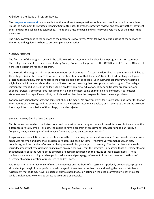# A Guide to the Steps of Program Review

The [program review rubric](https://do-prod-webteam-drupalfiles.s3-us-west-2.amazonaws.com/pcedu/s3fs-public/Program%20review%20assessment%20rubric%202018_0.pdf) is a valuable tool that outlines the expectations for how each section should be completed. This is the document the Strategic Planning Committee uses to evaluate program reviews and assess whether they meet the standards the college has established. The rubric is just one page and will help you avoid many of the pitfalls that may occur.

The rubric corresponds to the sections of the program review forms. What follows below is a listing of the sections of the forms and a guide as to how to best complete each section.

#### *Mission Statement*

The first part of the program review is the college mission statement and a place for the program mission statement. The college statement is reviewed regularly by College Council and approved by the KCCD Board of Trustees. Of interest here is the statement for each program.

In the rubric, the program mission statement meets requirements if it "accurately describes the program and is linked to the college mission statement." How does one write a statement that does this? Basically, by describing what your program does and how that connects to the overall mission of the college. Each instructional program, for example, might include information about the kinds of instruction and learning that takes place in their program. The college mission statement discusses the college's focus on developmental education, career and transfer preparation, and support services. Some programs focus primarily on one of these, some on multiple or all of them. Your mission statement need not specify every link, but it should be clear how the program furthers the college mission

For non-instructional programs, the same link should be made. No program exists for its own sake, but rather for that of the students of the college and the community. If the mission statement is unclear, or if it seems as though the program has strayed from the mission of the college, it may be rejected.

#### *Student Learning/Service Area Outcomes*

This is the section in which the instructional and non-instructional program review forms differ most, but even here, the differences are fairly small. For both, the goal is to have a program of assessment that, according to our rubric, is "ongoing, clear, and complete" and to have "decisions based on assessment results."

Programs have some latitude as to how to express this in their program review documents. Some provide calendars and schedules for when and how their programs are assessing each outcome. Programs vary tremendously, in size, complexity, and the number of outcomes being assessed. So, your approach can vary. The bottom line is that each must document that assessment is taking place on a regular basis, that the program is discussing those assessments, and that decisions about the future of the program are being made based on the results of these assessments. These decisions may be such things as changes in curriculum and pedagogy, refinement of the outcomes and methods of assessment, and reallocation of resources to address gaps.

It is important to note that while refining the outcomes and methods of assessment is perfectly acceptable, a program should not get caught in a loop of continual changes in the outcomes rather than addressing the needs of students. Assessment methods may never be perfect, but we should focus on acting on the best information we have thus far while simultaneously working to assess as accurately as possible.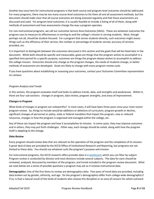Another key issue here for instructional programs is that both course and program level outcomes should be addressed. For many programs, there may be too many course-level outcomes to list them all and all assessment methods, but the document should make clear that all course outcomes are being assessed regularly and that those assessments are discussed and used. For program level outcomes, it is usually feasible to include a listing of all of them, along with methods of assessment and how assessments change the way a program operates.

For non-instructional programs, we call our outcomes Service Area Outcomes (SAOs). These are whatever outcomes the program uses to measure its effectiveness in serving its and the college's mission in serving students. Most, though perhaps not all, should be student-focused. For a program that serves students directly, such outcomes might assess things such as the efficiency of their service, the number or percentage of students served, accuracy of services provided, etc.

It is important to distinguish between the outcomes discussed in this section and the goals that will be listed later in the document. While both should be specific and measurable, goals are things that the program wishes to accomplish in a specified time period for a specific purpose, outcomes are things the program always wishes to accomplish to address the college mission. Outcomes should only change as the program changes, the needs of students change, or better methods of assessment are developed. Goals are likely to change with every program review cycle.

If you have questions about establishing or assessing your outcomes, contact your Outcomes Committee representative on campus.

# *Program Analysis and Trends*

In this section, the program evaluates itself and looks to address trends, data, and strengths and weaknesses. Within it, there are four sub-sections: changes in program, data review, program strengths, and areas of improvement.

# *Changes in Program*

What kinds of changes in program are noteworthy? In most cases, it will have been three years since your most recent program review. So, things to include would be additions or deletions of curriculum, program growth or decline, significant changes of personnel or policy, state or federal mandates that impact the program, new or reduced resources, changes in how the program is organized and managed within the college, etc.

Any of these can impact the program and how it accomplishes its mission. In some cases, they may improve outcomes and in others, they may put forth challenges. Either way, each change should be noted, along with how the program itself is adapting to the change.

#### *Data Review*

Every program should review data that are relevant to the operation of the program and the completion of its mission. A great deal of data are provided by the KCCD Office of Institutional Research and Reporting, but programs are not limited to these data. You should use whatever suits the program's purpose and mission.

For instructional programs, the KCCD research office provides data in [a dashboard,](https://ir.kccd.edu/program-review/) which you can filter by subject. Program review is conducted by division and most divisions include several subjects. The data for each should be reviewed, analyzed, discussed by members of the program, and trends included in the program review document. What we note below are a series of possible questions a program may ask as it reviews instructional data.

**Demographics:** One of the first items to review are demographics data. Five years of trend data are provided, including data broken out by gender, ethnicity, and age. Do the program's demographics differ from college-wide demographics? If so, is that a natural result of the kinds of students who choose this discipline or an area of concern for which outreach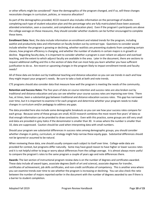or other efforts might be considered? Have the demographics of the program changed, and if so, will these changes necessitate changes in curriculum, policies, or resource allocation?

As part of the demographics provided, KCCD research also includes information on the percentage of students completing each type of student education plan and the percentage who are fully matriculated (have been assessed, attended orientation, seen a counselor, and completed an education plan). Even if the program's participants are above the college average on these measures, they should consider whether students can be further encouraged to complete these items.

**Enrollment Data:** Next, the data include information on enrollment and related trends for the program, including waitlist and productivity data and information on faculty broken out by contract type. Questions to consider would include whether the program is growing or declining, whether waitlists are preventing students from completing certain classes, how program efficiency is changing, and whether the number of students in certain majors is in growth or decline. Regarding faculty data, it is important to consider whether a program is over-reliant on adjunct and overload teaching, and the extent to which adjunct faculty are available in the area. Later in the document, there are sections to request additional staffing and this is the section of data that can most help you learn whether you have sufficient justification to do so. Are recent or upcoming changes in the program likely to impact enrollment trends and faculty needs?

All of these data are broken out by traditional teaching and distance education so you can see trends in each and how they might impact your program's needs. Be sure to take a look at both and note trends.

CTE programs should also consider data that measure how well the program is meeting the needs of the community.

**Retention and Success Rates:** The five years of data on course retention and success rates are also broken out by traditional and distance education and you can see whether your course success rates are improving over time. There has, at times, been a substantial gap between traditional and distance education success rates. This gap has narrowed over time, but it is important to examine it for each program and determine whether your program needs to make changes in curriculum and/or pedagogy to address any gaps.

The data provided here also include some demographic breakouts so you can see how your success rates compare for each group. Because some of these groups are small, KCCD research combines the most recent five years' of data so that enough information can be provided to draw conclusions. Even with this practice, some groups are still very small and data are provided in grey italics if the denominator is smaller than 30. In areas where the number is smaller than 10, data are suppressed. Caution should be used when interpreting data with small numbers.

Should your program see substantial differences in success rates among demographic groups, you should consider whether changes in policy, curriculum, or strategy might help narrow these equity gaps. Substantial differences should not be ignored or assumed to be natural.

When reviewing these data, one should usually compare each subject to itself over time. College-wide data are provided for context, but programs differ naturally. Some may have good reason to have higher or lower success rates and it is not helpful either to brag or worry about differences from the college average. It is almost always more useful to compare the program's rates to the same program a couple of years ago and note differences there.

**Awards:** The last section of instructional program review data is on the number of degrees and certificates awarded. These data include all award types, associate degrees (both of art and science), associate degrees for transfer, certificates of achievement, job skills certificates, and non-credit certificates of competency. This is another area where you can examine trends over time to see whether the program is increasing or declining. You can also check the ratio between the number of majors reported earlier in the document with the number of degrees awarded to see if there is a barrier to student completion.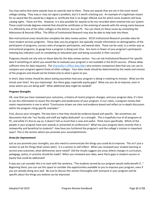You may notice that some awards have an asterisk next to them. These are awards that are not in the most recent college catalog. They may or may not signal a problem, but it is worth checking out. An example of a legitimate reason for an award like this would be a degree or certificate that is no longer offered, but for which some students still have catalog rights. These are fine. However, it is also possible for awards to be mis-recorded when entered into our system. These could include degrees entered that should be certificates or the entering of awards with the wrong name because it is offered by one of the other colleges in the district, but not PC. You can check on these issues by contacting the Admissions & Records Office. The Office of Institutional Research may also be able to help look into these.

Non-instructional areas should also complete the data review section. KCCD Institutional Research provides data for most student services programs. These data vary by program, but typically include information on demographics of the participants of programs, success rates of program participants, and awards data. These can be used, in a similar way as instructional programs, to gauge how a program is doing over time. Are more or fewer of your program's participants meeting key indicators such as completing an education plan and being successful in their courses?

Programs should not rely only on these data for the data review section. You can ask Institutional Research for specific data if something on which you would like to evaluate your program is not available in the KCCD sources. (Please allow sufficient time for data requests). The [Chancellor's Office Data Mart](https://datamart.cccco.edu/datamart.aspx) also contains comparison data that you can use to compare your program against those of other colleges. Your data needs should be determined by the needs and mission of the program and should not be limited only to what is given to you.

In short, data review should be about asking yourselves how your program is doing in meeting its mission. What are the trends over time? Are you improving? Are there gaps, especially equity gaps? What can you do to improve, even in areas where you are doing well? What additional data might be needed?

# *Program Strengths*

OK, now that you have reviewed your outcomes, a history of recent program changes, and your program data, it's time to use this information to assess the strengths and weaknesses of your program. In our rubric, a program review that meets requirements is one in which "Conclusions drawn are clear and evidence-based and reflect an in-depth discussion within the program citing specific examples."

First, discuss your strengths. The key here is that they should be evidence-based and specific. We sometimes see documents that cite "our faculty and staff are highly dedicated" as a strength. This is hopefully true of all programs at PC, and while it's fine to say so, it doesn't tell us much that is new and useful. Think more specifically. Which of the people in your program have won awards or presented at conferences? What has your program done recently that is noteworthy and beneficial to students? How have you furthered the program's and the college's mission in important ways? This is the section where you promote your accomplishments.

#### *Areas for Improvement*

Just as you promote your strengths, you also need to communicate the things you could do to improve. This isn't just a section to ask for things (that comes later). It is a section to self-reflect. When you reviewed your student learning or service area outcomes, what deficiencies were noted? Did the results suggest any areas where changes in curriculum, pedagogy, policy, or practice should be made? When you reviewed your data, were there gaps in student success or equity that could be addressed?

A way you can consider this is to start with the sentence, "The students served by our program would really benefit if…" Beginning there, you can use this space to consider the opportunities available to you to improve your program, even if you are already doing very well. Be sure to discuss this section thoroughly with everyone in your program and be specific about the things you believe can be improved.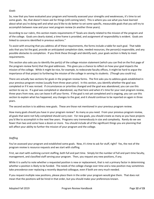#### *Goals*

So, now that you have evaluated your program and honestly assessed your strengths and weaknesses, it's time to set some goals. No, that doesn't mean ask for things (still coming later). This is where you use what you have learned about what you're doing well and what you'd like to do better to set some specific, measurable goals that you will try to accomplish between now and your next program review (in another three years).

According to our rubric, this section meets requirements if "Goals are clearly related to the mission of the program and of the college. Goals are clearly stated, a time frame is provided, and assignment of responsibility is evident. Goals are linked to concerns identified in previous sections."

To assist with ensuring that you address all of these requirements, the forms include a table for each goal. That table asks that you list the goal, provide an anticipated completion date, needed resources, the person(s) responsible, and any possible obstacles to completion. If you think these through and identify each, your goals section is likely to meet requirements.

This section also asks you to identify the part(s) of the college mission statement (which you can find on the first page of the program review form) that the goal addresses. This gives you a chance to reflect on how your goal impacts the mission of the college. While it might be nice, for example, to redecorate faculty offices, it might be hard to argue the importance of that project to furthering the mission of the college in serving its students. (Though you could try).

There are actually two sections for goals in the program review forms. The first asks you to address goals established in your previous program review (usually from three years prior). In this section, you identify whether the goal was completed or if it was revised. If circumstances or priorities changed and the goal was abandoned, you can use this section to say so. If a goal was completed or abandoned, say that here and when it's time for your next program review, three years from now, you can leave it off your forms. If the goal is not yet completed and is ongoing, you can use this section to explain what has happened, any changes to the goal, and it should continue to be reported on again in three years.

The second section is to address new goals. These are those not mentioned in your previous program review.

How many goals should you have in your program review? As many as you need. From your previous program review, all goals that were not fully completed should carry over. For new goals, you should create as many as you have projects you'd like to accomplish in the next few years. Programs vary tremendously in size and complexity. Rarely do we see fewer than two and some have a dozen or more. You should include all of the significant things you are planning that will affect your ability to further the mission of your program and the college.

# *Staffing*

You've assessed your program and established some goals. Now, it's time to ask for stuff, right? Yes, the rest of the program review is resource requests and we start with staffing.

First, we start with outlining current staffing, both full and part time. Simply list the number of full and part-time faculty, management, and classified staff serving your program. Then, you request any new positions, if any.

While it is useful to note whether a requested position is new or replacement, that is not a primary factor in determining whether a position is likely to be funded. The needs of the college change over time and a new position may sometimes take precedence over replacing a recently departed colleague, even if both are very much needed.

If you request multiple new positions, please place them in the order your program would give them. That does not mean that the positions will be hired in that order, but you should make your preferences known.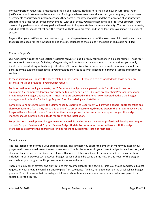For every position requested, a justification should be provided. Nothing here should be new or surprising. Your justification should stem from the analysis and findings you have already conducted into your program, the outcomes assessments conducted and program changes they suggest, the review of data, and the compilation of your program strengths and areas for potential improvement. With all of these, you have established goals for your program. Your overarching goal—and our primary goal in all we do—is to improve student success and equity. Your resource requests, including staffing, should reflect how the request will help your program, and the college, improve its focus on student success.

Beyond that, your justification need not be long. Use this space to remind us of the assessment information and data that suggest a need for the new position and the consequences to the college if the position request is not filled.

#### *Resource Requests*

Our rubric simply calls the next section "resource requests," but it is really four sections in a similar format. These four sections are for technology, facilities, safety/security and professional development. In these sections, you simply identify your need, along with a brief justification. Of course, like all other resource requests, your needs should be dictated by the evidence established in your previous analyses as to what is needed to improve success and equity for students.

In these sections, you identify the needs related to these areas. If there is a cost associated with those needs, an estimate should be provided in your budget request.

For information technology requests, the IT Department will provide a general quote for office and classroom equipment (i.e. computers, laptops, and printers) to assist departments/divisions prepare their Program Review and Program Review Budget Update Forms. After items are approved in the tentative or adopted budget, the budget manager should submit a Technology Request Form for ordering and installation.

For facilities and safety/security, the Maintenance & Operations Department will provide a general quote for office and classroom furniture (i.e. chairs, desks, and cabinets) to assist departments/divisions prepare their Program Review and Program Review Budget Update Forms. After items are approved in the tentative or adopted budget, the budget manager should submit a School Dude for ordering and installation.

For professional development, budget managers should list and estimate their area's professional development request on their Program Review and Program Review Budget Update Forms. Administration will work with the budget Managers to determine the appropriate funding for the request (unrestricted or restricted).

#### *Budget Request*

The last section of the forms is your budget request. This is where you ask for the amount of money you expect your program will need annually over the next three years. You list the amounts in your current budget for each section, and also any changes (increase or decrease), along with a revised total. Any budget changes should have a justification included. As with previous sections, your budget requests should be based on the mission and needs of the program and the how your program will improve student success and equity.

There are a number of caveats and clarifications that are important for this section. First, you should complete a budget request for your program even if it is entirely paid from categorical funding, not dependent on the usual college budget process. This is to ensure that the college is informed about how we spend our resources and what we spend it on, regardless of the source.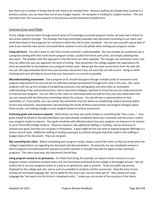But, there are a number of things that do not need to be included here. Because staffing has already been covered in a previous section, you can leave that out of your budget request. An exception is funding for student workers. The cost estimates from the resource requests in the previous section should be included here.

# Common Errors and Pitfalls

As the college now has been through several cycles of increasingly successful program review, we have had a chance to see certain patterns emerge. The Strategic Planning Committee evaluates each document according to our rubric and sends them back to the programs for corrections when they fail to meet standards. You can save yourself a great deal of time if you read this next section and avoid these common errors and pitfalls when writing your program review.

**Using old forms**. You don't want to start from scratch and that's understandable. But one mistake we sometimes see is a program starting with their most recent program review, usually from three years prior, and simply updating that document. The problem with this approach is that the forms are often updated. The changes are sometimes minor, but they can affect the way you approach the work of writing. And sometimes, the college updates the expectations for what we would like to see between your program review cycle. Always get the most recent forms from the web site. You can still copy and paste items from your previous document if you are sure they are still current. Doing so while checking each one will help to ensure that your document is as current as possible.

**Misunderstanding assessment**. Every program at PC should have gone through multiple cycles of assessment and program improvement by now and we are definitely seeing improvement through each cycle in this area. But, some programs still mix up the concept of establishing outcomes and setting goals and some have an incomplete understanding of the assessment process, how to document dialogue, and how to show that you are using assessment to improve your program. You can refer to the rubric to understand what we look for here, but also understand that you can consult with the Outcomes Committee about this process. You should have a representative on that committee, or, if you prefer, you can contact the committee chair for advice on establishing student learning and/or service area outcomes, assessing them, documenting the results of those assessments and program dialogue about those results, and making changes to your program based on serious assessment.

**Confusing goals and resource requests**. Many times, we have seen goals written as something like "Hire a new…" Your goals should be based on the documentation you have already completed about your outcomes and the areas in which your program needs to improve. Your goals should be self-reflective about how your program can improve in its mission to serve Porterville College students. Resource requests, like additional staffing, or funding, may be necessary to achieve your goals, but they are not goals in themselves. A goal might be that you wish to expand program offerings in a certain area of need. Additional staffing or funding necessary to achieve that goal should be made in the staffing or budget areas of the document. They are not goals.

**Not consulting the rubric**. Before completing your program review, always consult the rubric so that you know what the college's expectations are regarding the document and documentation. Occasionally, we see completed reviews in which programs misunderstood the purpose of certain sections or thought they did not apply to their particular programs. The rubric (and now, this document) should help.

**Using program review to air grievances**. It is likely frustrating, for example, to request certain resources in your program review, sometimes multiple times, but not have those prioritized by the college in the budget process. But, be careful not to use your program review as a way to air grievances, past or present. These are public documents, displayed on the college web site, and as such are available to students and the community. Keep the tone of your writing civil and avoid language like "we've asked for this every year, but we never get it!" Also, beware of using language like "we need to do this to be in compliance with…" unless you are certain of the accuracy of the claims.